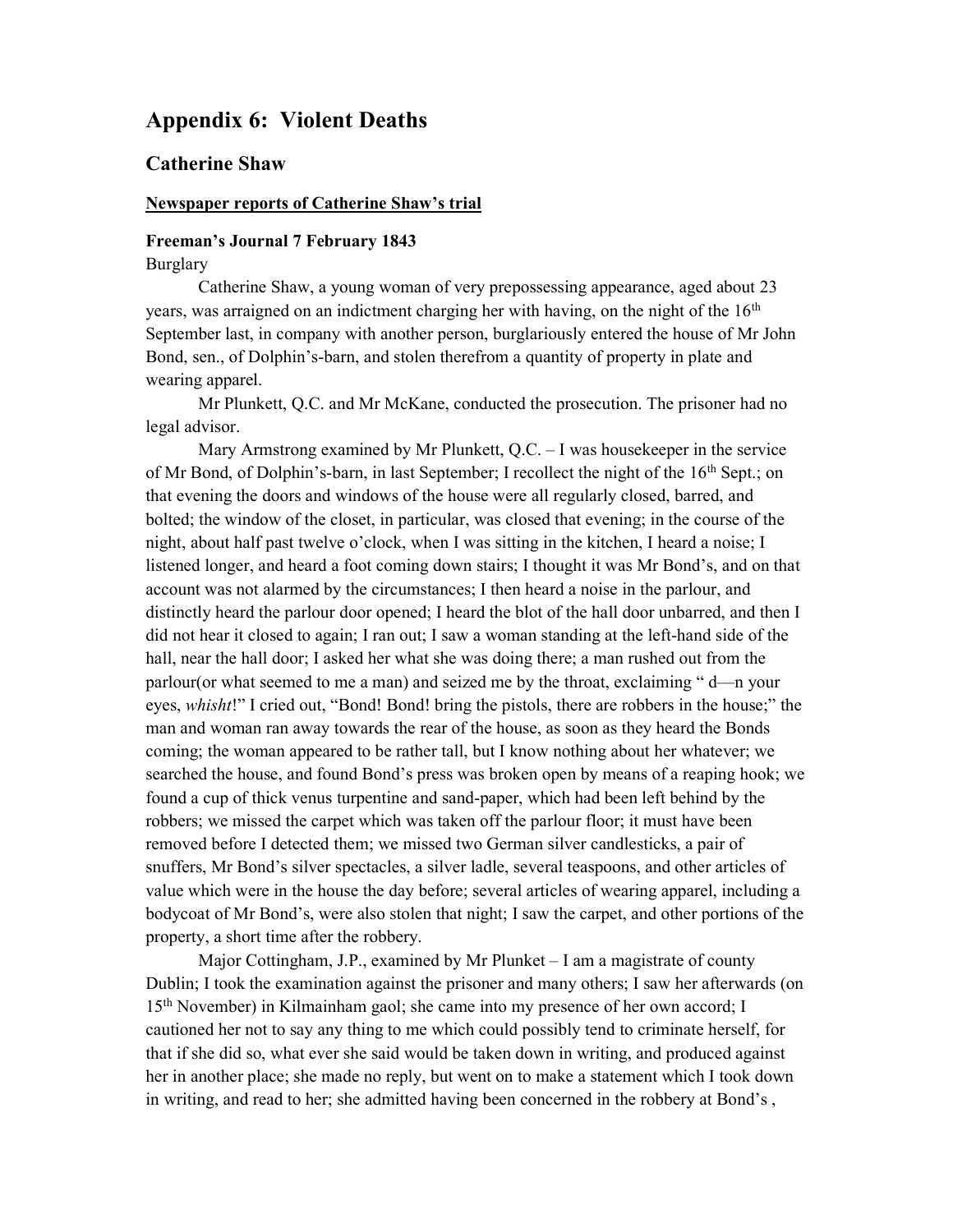# Appendix 6: Violent Deaths

# Catherine Shaw

### Newspaper reports of Catherine Shaw's trial

# Freeman's Journal 7 February 1843

Burglary

Catherine Shaw, a young woman of very prepossessing appearance, aged about 23 years, was arraigned on an indictment charging her with having, on the night of the  $16<sup>th</sup>$ September last, in company with another person, burglariously entered the house of Mr John Bond, sen., of Dolphin's-barn, and stolen therefrom a quantity of property in plate and wearing apparel.

Mr Plunkett, Q.C. and Mr McKane, conducted the prosecution. The prisoner had no legal advisor.

Mary Armstrong examined by Mr Plunkett,  $Q.C. - I$  was housekeeper in the service of Mr Bond, of Dolphin's-barn, in last September; I recollect the night of the 16th Sept.; on that evening the doors and windows of the house were all regularly closed, barred, and bolted; the window of the closet, in particular, was closed that evening; in the course of the night, about half past twelve o'clock, when I was sitting in the kitchen, I heard a noise; I listened longer, and heard a foot coming down stairs; I thought it was Mr Bond's, and on that account was not alarmed by the circumstances; I then heard a noise in the parlour, and distinctly heard the parlour door opened; I heard the blot of the hall door unbarred, and then I did not hear it closed to again; I ran out; I saw a woman standing at the left-hand side of the hall, near the hall door; I asked her what she was doing there; a man rushed out from the parlour(or what seemed to me a man) and seized me by the throat, exclaiming " d—n your eyes, *whisht!*" I cried out, "Bond! Bond! bring the pistols, there are robbers in the house;" the man and woman ran away towards the rear of the house, as soon as they heard the Bonds coming; the woman appeared to be rather tall, but I know nothing about her whatever; we searched the house, and found Bond's press was broken open by means of a reaping hook; we found a cup of thick venus turpentine and sand-paper, which had been left behind by the robbers; we missed the carpet which was taken off the parlour floor; it must have been removed before I detected them; we missed two German silver candlesticks, a pair of snuffers, Mr Bond's silver spectacles, a silver ladle, several teaspoons, and other articles of value which were in the house the day before; several articles of wearing apparel, including a bodycoat of Mr Bond's, were also stolen that night; I saw the carpet, and other portions of the property, a short time after the robbery.

Major Cottingham, J.P., examined by Mr Plunket – I am a magistrate of county Dublin; I took the examination against the prisoner and many others; I saw her afterwards (on 15th November) in Kilmainham gaol; she came into my presence of her own accord; I cautioned her not to say any thing to me which could possibly tend to criminate herself, for that if she did so, what ever she said would be taken down in writing, and produced against her in another place; she made no reply, but went on to make a statement which I took down in writing, and read to her; she admitted having been concerned in the robbery at Bond's ,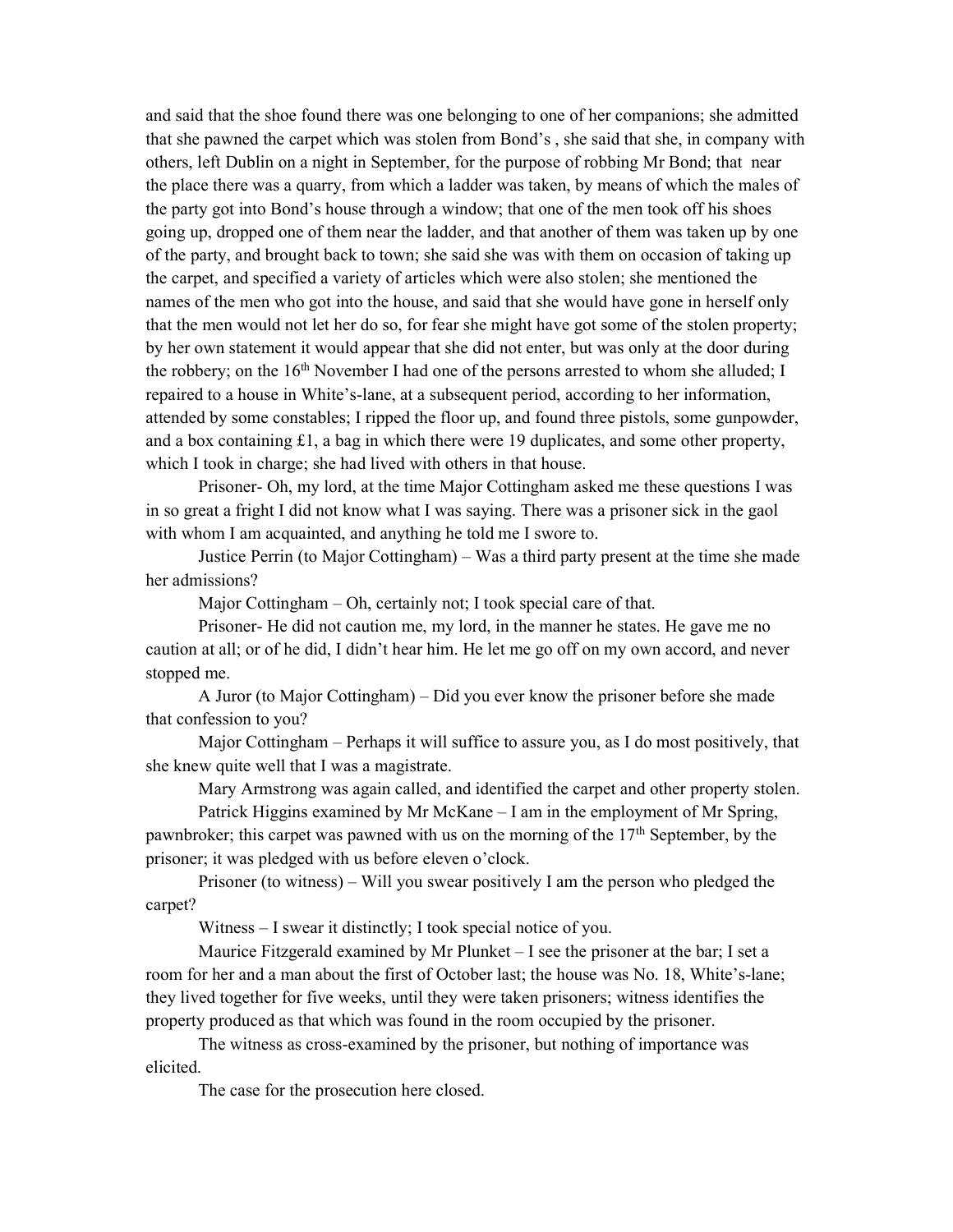and said that the shoe found there was one belonging to one of her companions; she admitted that she pawned the carpet which was stolen from Bond's , she said that she, in company with others, left Dublin on a night in September, for the purpose of robbing Mr Bond; that near the place there was a quarry, from which a ladder was taken, by means of which the males of the party got into Bond's house through a window; that one of the men took off his shoes going up, dropped one of them near the ladder, and that another of them was taken up by one of the party, and brought back to town; she said she was with them on occasion of taking up the carpet, and specified a variety of articles which were also stolen; she mentioned the names of the men who got into the house, and said that she would have gone in herself only that the men would not let her do so, for fear she might have got some of the stolen property; by her own statement it would appear that she did not enter, but was only at the door during the robbery; on the  $16<sup>th</sup>$  November I had one of the persons arrested to whom she alluded; I repaired to a house in White's-lane, at a subsequent period, according to her information, attended by some constables; I ripped the floor up, and found three pistols, some gunpowder, and a box containing  $\pounds 1$ , a bag in which there were 19 duplicates, and some other property, which I took in charge; she had lived with others in that house.

Prisoner- Oh, my lord, at the time Major Cottingham asked me these questions I was in so great a fright I did not know what I was saying. There was a prisoner sick in the gaol with whom I am acquainted, and anything he told me I swore to.

Justice Perrin (to Major Cottingham) – Was a third party present at the time she made her admissions?

Major Cottingham – Oh, certainly not; I took special care of that.

Prisoner- He did not caution me, my lord, in the manner he states. He gave me no caution at all; or of he did, I didn't hear him. He let me go off on my own accord, and never stopped me.

A Juror (to Major Cottingham) – Did you ever know the prisoner before she made that confession to you?

Major Cottingham – Perhaps it will suffice to assure you, as I do most positively, that she knew quite well that I was a magistrate.

Mary Armstrong was again called, and identified the carpet and other property stolen.

Patrick Higgins examined by Mr McKane – I am in the employment of Mr Spring, pawnbroker; this carpet was pawned with us on the morning of the 17<sup>th</sup> September, by the prisoner; it was pledged with us before eleven o'clock.

Prisoner (to witness) – Will you swear positively I am the person who pledged the carpet?

Witness – I swear it distinctly; I took special notice of you.

Maurice Fitzgerald examined by Mr Plunket – I see the prisoner at the bar; I set a room for her and a man about the first of October last; the house was No. 18, White's-lane; they lived together for five weeks, until they were taken prisoners; witness identifies the property produced as that which was found in the room occupied by the prisoner.

The witness as cross-examined by the prisoner, but nothing of importance was elicited.

The case for the prosecution here closed.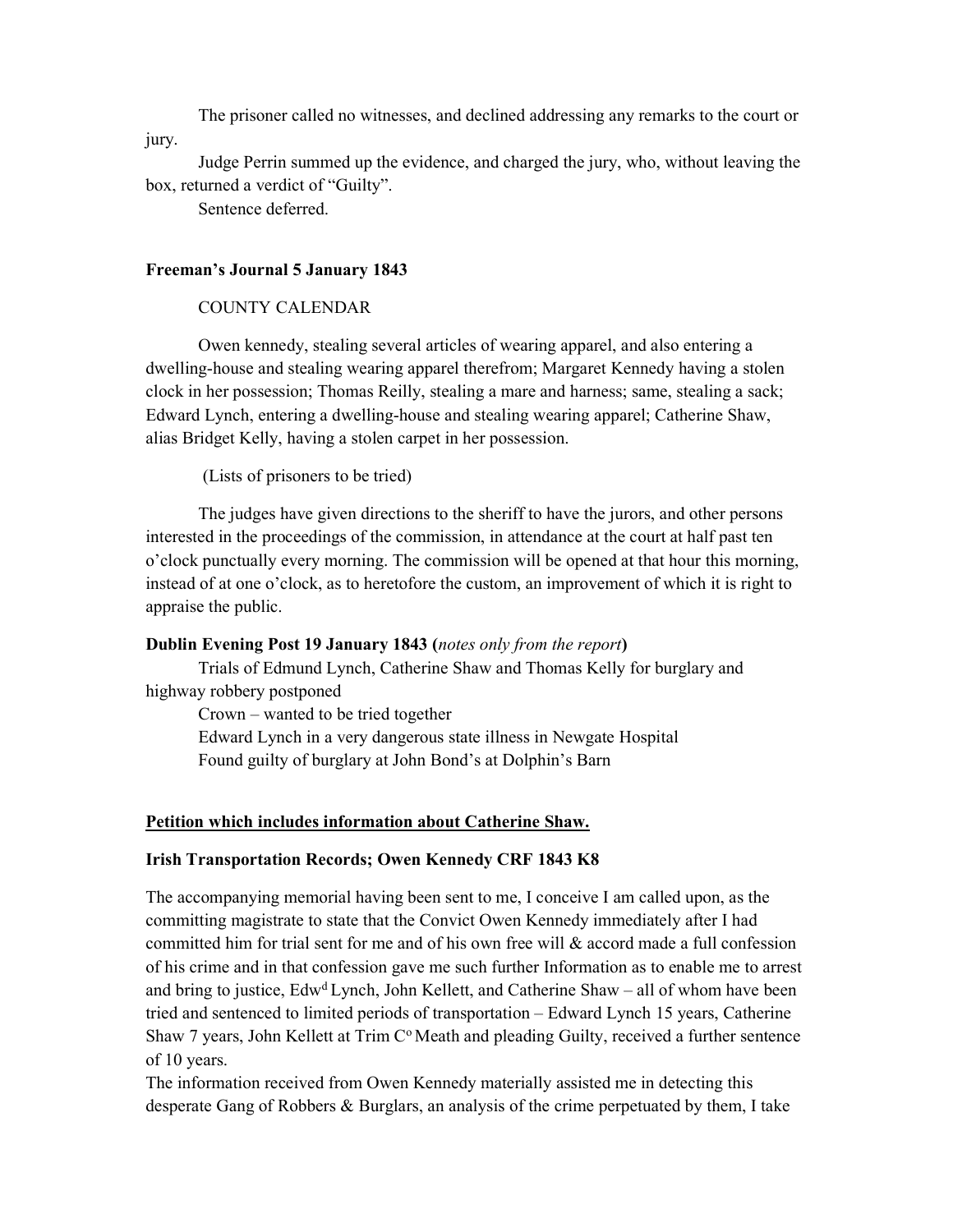The prisoner called no witnesses, and declined addressing any remarks to the court or jury.

Judge Perrin summed up the evidence, and charged the jury, who, without leaving the box, returned a verdict of "Guilty".

Sentence deferred.

# Freeman's Journal 5 January 1843

# COUNTY CALENDAR

Owen kennedy, stealing several articles of wearing apparel, and also entering a dwelling-house and stealing wearing apparel therefrom; Margaret Kennedy having a stolen clock in her possession; Thomas Reilly, stealing a mare and harness; same, stealing a sack; Edward Lynch, entering a dwelling-house and stealing wearing apparel; Catherine Shaw, alias Bridget Kelly, having a stolen carpet in her possession.

(Lists of prisoners to be tried)

The judges have given directions to the sheriff to have the jurors, and other persons interested in the proceedings of the commission, in attendance at the court at half past ten o'clock punctually every morning. The commission will be opened at that hour this morning, instead of at one o'clock, as to heretofore the custom, an improvement of which it is right to appraise the public.

### Dublin Evening Post 19 January 1843 (notes only from the report)

Trials of Edmund Lynch, Catherine Shaw and Thomas Kelly for burglary and highway robbery postponed

Crown – wanted to be tried together Edward Lynch in a very dangerous state illness in Newgate Hospital Found guilty of burglary at John Bond's at Dolphin's Barn

# Petition which includes information about Catherine Shaw.

### Irish Transportation Records; Owen Kennedy CRF 1843 K8

The accompanying memorial having been sent to me, I conceive I am called upon, as the committing magistrate to state that the Convict Owen Kennedy immediately after I had committed him for trial sent for me and of his own free will & accord made a full confession of his crime and in that confession gave me such further Information as to enable me to arrest and bring to justice,  $Edw<sup>d</sup> Lynch$ , John Kellett, and Catherine Shaw – all of whom have been tried and sentenced to limited periods of transportation – Edward Lynch 15 years, Catherine Shaw 7 years, John Kellett at Trim  $C^{\circ}$  Meath and pleading Guilty, received a further sentence of 10 years.

The information received from Owen Kennedy materially assisted me in detecting this desperate Gang of Robbers & Burglars, an analysis of the crime perpetuated by them, I take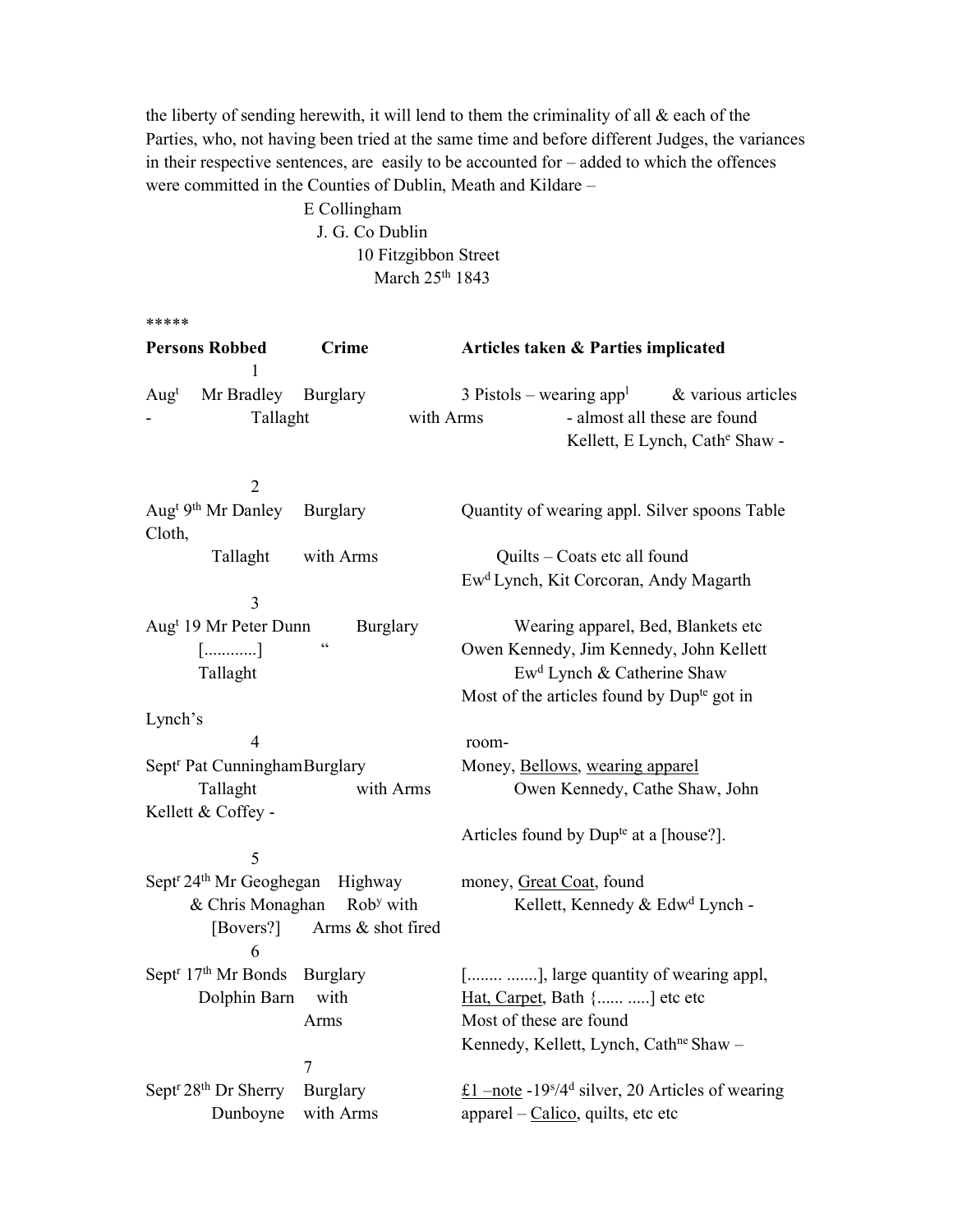the liberty of sending herewith, it will lend to them the criminality of all & each of the Parties, who, not having been tried at the same time and before different Judges, the variances in their respective sentences, are easily to be accounted for – added to which the offences were committed in the Counties of Dublin, Meath and Kildare –

> E Collingham J. G. Co Dublin 10 Fitzgibbon Street March 25<sup>th</sup> 1843

\*\*\*\*\*

| <b>Persons Robbed</b>                                   | <b>Crime</b>          | Articles taken & Parties implicated                                                                                          |
|---------------------------------------------------------|-----------------------|------------------------------------------------------------------------------------------------------------------------------|
| Mr Bradley<br>Aug <sup>t</sup><br>Tallaght              | Burglary<br>with Arms | 3 Pistols – wearing app <sup>1</sup><br>& various articles<br>- almost all these are found<br>Kellett, E Lynch, Cathe Shaw - |
| $\overline{2}$                                          |                       |                                                                                                                              |
| Aug <sup>t 9th</sup> Mr Danley<br>Cloth,                | Burglary              | Quantity of wearing appl. Silver spoons Table                                                                                |
| Tallaght                                                | with Arms             | Quilts - Coats etc all found                                                                                                 |
|                                                         |                       | Ew <sup>d</sup> Lynch, Kit Corcoran, Andy Magarth                                                                            |
| 3                                                       |                       |                                                                                                                              |
| Aug <sup>t</sup> 19 Mr Peter Dunn                       | Burglary              | Wearing apparel, Bed, Blankets etc                                                                                           |
| []                                                      | $\zeta$ $\zeta$       | Owen Kennedy, Jim Kennedy, John Kellett                                                                                      |
| Tallaght                                                |                       | Ew <sup>d</sup> Lynch & Catherine Shaw                                                                                       |
|                                                         |                       | Most of the articles found by Dup <sup>te</sup> got in                                                                       |
| Lynch's                                                 |                       |                                                                                                                              |
| 4                                                       |                       | room-                                                                                                                        |
| Sept <sup>r</sup> Pat Cunningham Burglary               |                       | Money, Bellows, wearing apparel                                                                                              |
| Tallaght                                                | with Arms             | Owen Kennedy, Cathe Shaw, John                                                                                               |
| Kellett & Coffey -                                      |                       |                                                                                                                              |
|                                                         |                       | Articles found by Dup <sup>te</sup> at a [house?].                                                                           |
| 5                                                       |                       |                                                                                                                              |
| Sept <sup>r</sup> 24 <sup>th</sup> Mr Geoghegan Highway |                       | money, Great Coat, found                                                                                                     |
| & Chris Monaghan                                        | Rob <sup>y</sup> with | Kellett, Kennedy & Edw <sup>d</sup> Lynch -                                                                                  |
| [Bovers?]<br>6                                          | Arms & shot fired     |                                                                                                                              |
| Sept <sup>r</sup> 17 <sup>th</sup> Mr Bonds Burglary    |                       | [ ], large quantity of wearing appl,                                                                                         |
| Dolphin Barn                                            | with                  | Hat, Carpet, Bath { ] etc etc                                                                                                |
|                                                         | Arms                  | Most of these are found                                                                                                      |
|                                                         |                       | Kennedy, Kellett, Lynch, Cath <sup>ne</sup> Shaw -                                                                           |
|                                                         | 7                     |                                                                                                                              |
| Sept <sup>r</sup> 28 <sup>th</sup> Dr Sherry            | Burglary              | £1 –note -19 $s/4$ <sup>d</sup> silver, 20 Articles of wearing                                                               |
| Dunboyne                                                | with Arms             | apparel - Calico, quilts, etc etc                                                                                            |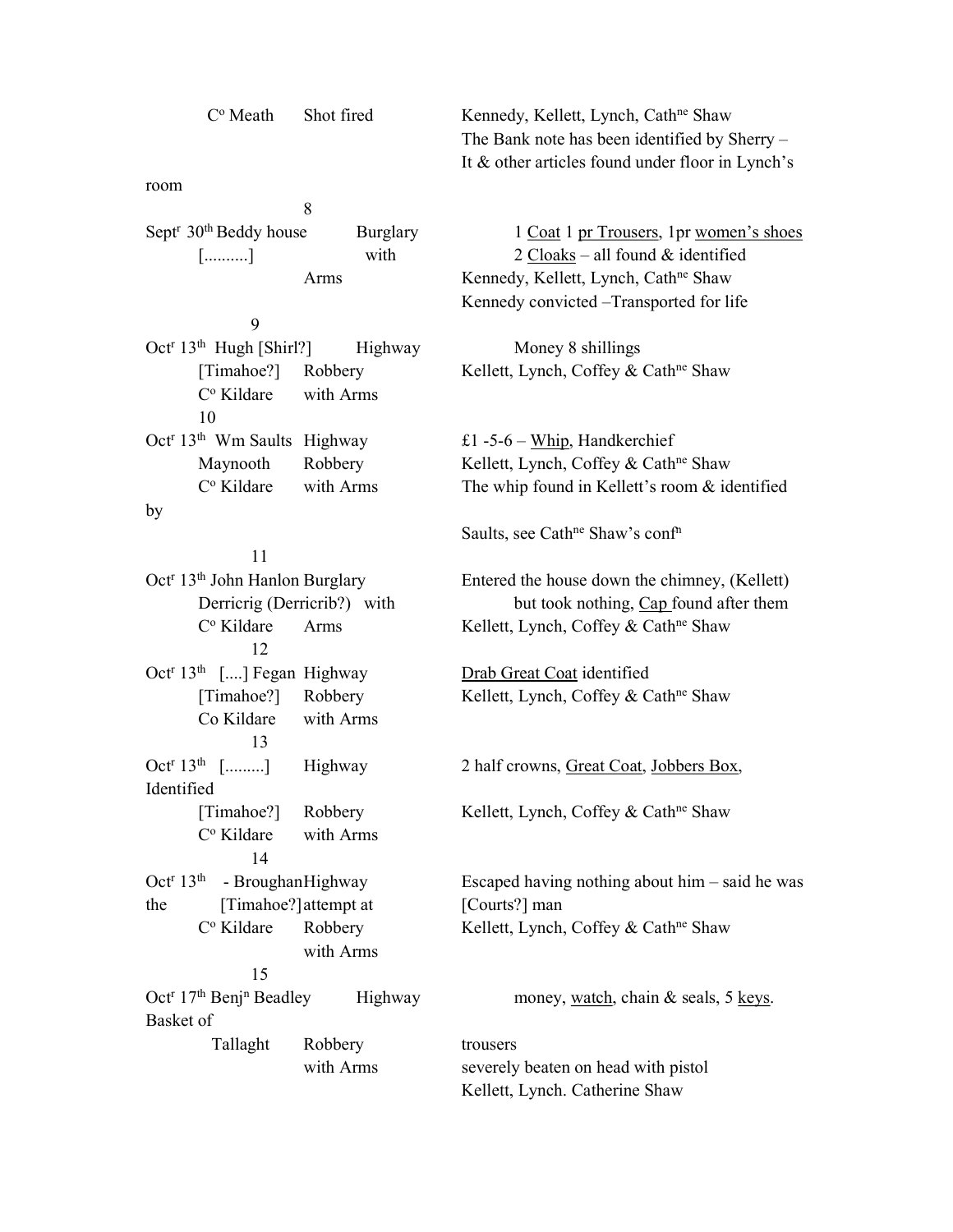| Shot fired<br>$C^{\circ}$ Meath       |          | Kennedy, Kellett, Lynch, Cath <sup>ne</sup> Shaw |
|---------------------------------------|----------|--------------------------------------------------|
|                                       |          | The Bank note has been identified by Sherry –    |
|                                       |          | It & other articles found under floor in Lynch's |
| room                                  |          |                                                  |
| 8                                     |          |                                                  |
| Sept <sup>r</sup> $30th$ Beddy house  | Burglary | 1 Coat 1 pr Trousers, 1 pr women's shoes         |
| $[\ldots, \ldots, \ldots]$            | with     | 2 Cloaks – all found $\&$ identified             |
| Arms                                  |          | Kennedy, Kellett, Lynch, Cath <sup>ne</sup> Shaw |
|                                       |          | Kennedy convicted – Transported for life         |
| 9                                     |          |                                                  |
| Oct <sup>r</sup> $13th$ Hugh [Shirl?] | Highway  | Money 8 shillings                                |
| Robbery<br>[Timahoe?]                 |          | Kellett, Lynch, Coffey & Cath <sup>ne</sup> Shaw |

C<sup>o</sup> Kildare

C<sup>o</sup> Kildare

C<sup>o</sup> Kildare

 $Oct^r 13^{th}$  [.........]

C<sup>o</sup> Kildare

C<sup>o</sup> Kildare

Oct<sup>r</sup> 17<sup>th</sup> Benj<sup>n</sup>

Basket of

Identified

Oct<sup>r</sup> 13<sup>th</sup> Wm Saults Highway

 11 Oct<sup>r</sup> 13<sup>th</sup> John Hanlon Burglary

12

13

 14 Oct<sup>r</sup>  $13<sup>th</sup>$  - Broughan Highway

15

Co Kildare with Arms

with Arms

with Arms

10

by

with Arms

£1 -5-6 – Whip, Handkerchief Maynooth Robbery Kellett, Lynch, Coffey & Cath<sup>ne</sup> Shaw with Arms The whip found in Kellett's room & identified

Saults, see Cath<sup>ne</sup> Shaw's conf<sup>n</sup>

Entered the house down the chimney, (Kellett) Derricrig (Derricrib?) with but took nothing, Cap found after them Arms Kellett, Lynch, Coffey & Cath<sup>ne</sup> Shaw

Oct<sup>r</sup> 13<sup>th</sup> [....] Fegan Highway **Drab Great Coat identified** [Timahoe?] Robbery Kellett, Lynch, Coffey & Cath<sup>ne</sup> Shaw

Highway 2 half crowns, Great Coat, Jobbers Box,

[Timahoe?] Robbery Kellett, Lynch, Coffey & Cath<sup>ne</sup> Shaw

Escaped having nothing about him – said he was the [Timahoe?] attempt at [Courts?] man Robbery Kellett, Lynch, Coffey & Cath<sup>ne</sup> Shaw

Highway money, watch, chain  $&$  seals, 5 keys.

Tallaght Robbery trousers with Arms severely beaten on head with pistol Kellett, Lynch. Catherine Shaw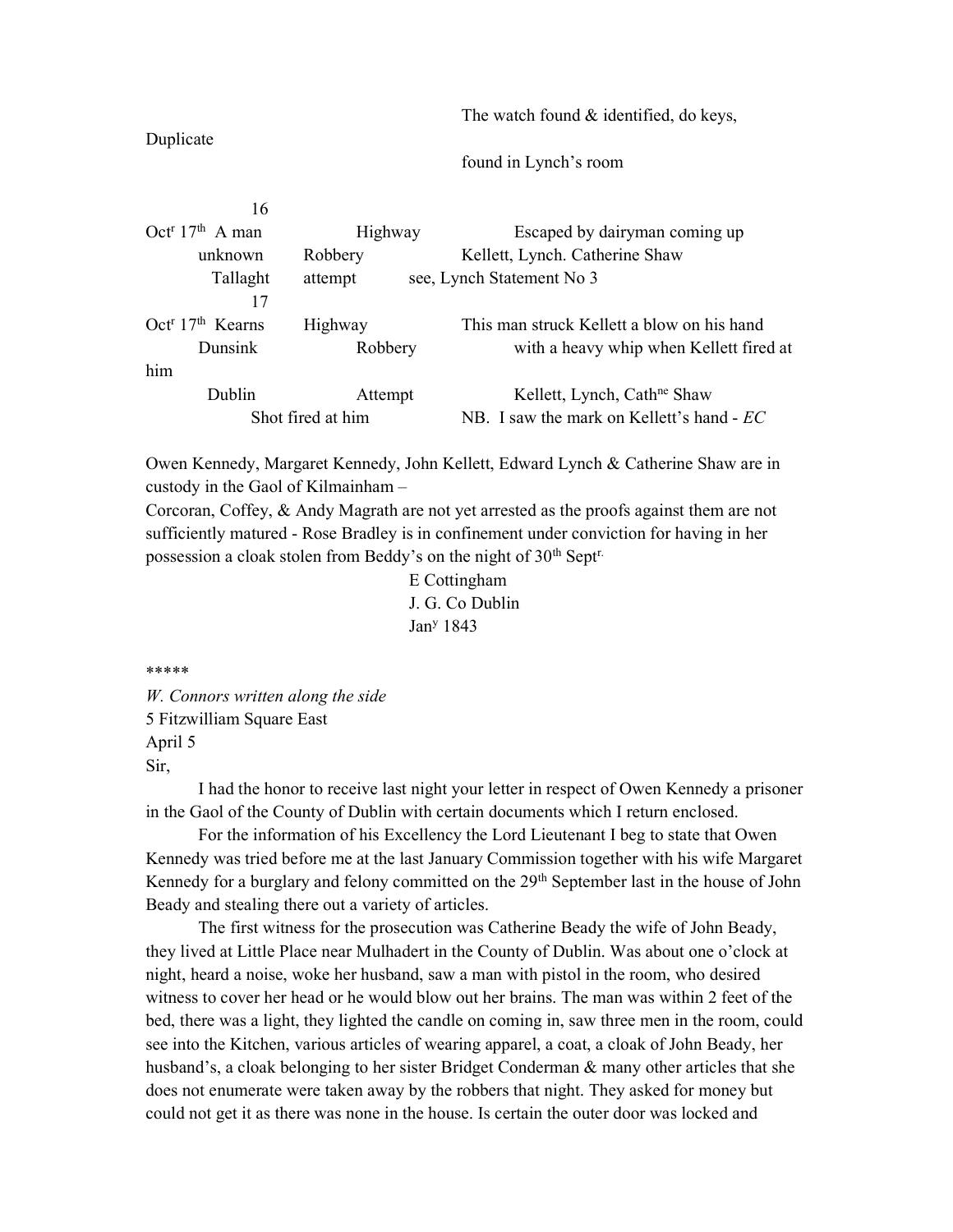The watch found & identified, do keys,

# Duplicate

found in Lynch's room

| Highway           | Escaped by dairyman coming up              |
|-------------------|--------------------------------------------|
| Robbery           | Kellett, Lynch. Catherine Shaw             |
| attempt           | see, Lynch Statement No 3                  |
|                   |                                            |
| Highway           | This man struck Kellett a blow on his hand |
| Robbery           | with a heavy whip when Kellett fired at    |
|                   |                                            |
| Attempt           | Kellett, Lynch, Cath <sup>ne</sup> Shaw    |
| Shot fired at him | NB. I saw the mark on Kellett's hand - EC  |
|                   |                                            |

Owen Kennedy, Margaret Kennedy, John Kellett, Edward Lynch & Catherine Shaw are in custody in the Gaol of Kilmainham –

Corcoran, Coffey, & Andy Magrath are not yet arrested as the proofs against them are not sufficiently matured - Rose Bradley is in confinement under conviction for having in her possession a cloak stolen from Beddy's on the night of 30<sup>th</sup> Sept<sup>r.</sup>

 E Cottingham J. G. Co Dublin Jan<sup>y</sup> Jan<sup>y</sup> 1843

\*\*\*\*\*

W. Connors written along the side 5 Fitzwilliam Square East April 5 Sir,

 I had the honor to receive last night your letter in respect of Owen Kennedy a prisoner in the Gaol of the County of Dublin with certain documents which I return enclosed.

 For the information of his Excellency the Lord Lieutenant I beg to state that Owen Kennedy was tried before me at the last January Commission together with his wife Margaret Kennedy for a burglary and felony committed on the 29<sup>th</sup> September last in the house of John Beady and stealing there out a variety of articles.

 The first witness for the prosecution was Catherine Beady the wife of John Beady, they lived at Little Place near Mulhadert in the County of Dublin. Was about one o'clock at night, heard a noise, woke her husband, saw a man with pistol in the room, who desired witness to cover her head or he would blow out her brains. The man was within 2 feet of the bed, there was a light, they lighted the candle on coming in, saw three men in the room, could see into the Kitchen, various articles of wearing apparel, a coat, a cloak of John Beady, her husband's, a cloak belonging to her sister Bridget Conderman & many other articles that she does not enumerate were taken away by the robbers that night. They asked for money but could not get it as there was none in the house. Is certain the outer door was locked and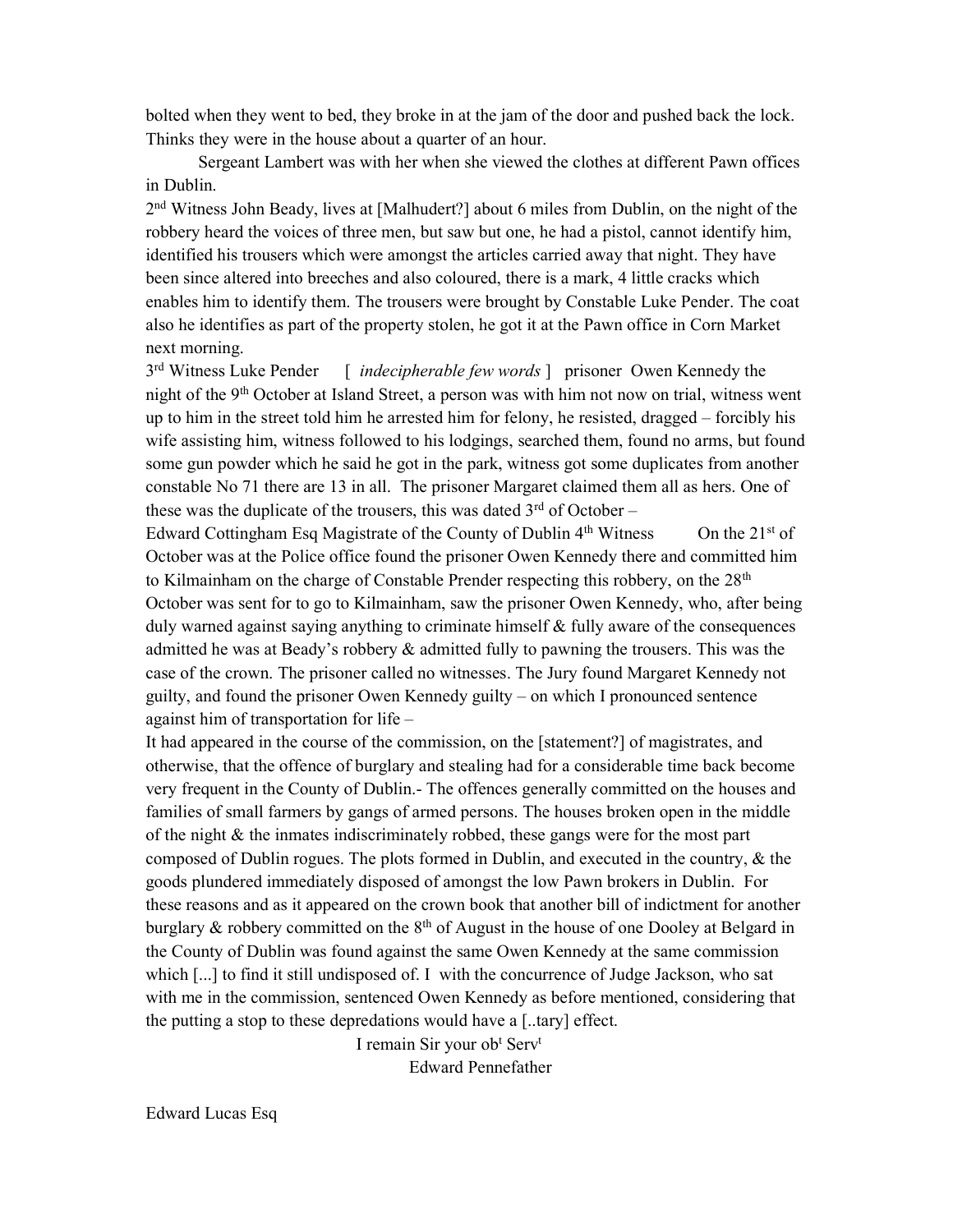bolted when they went to bed, they broke in at the jam of the door and pushed back the lock. Thinks they were in the house about a quarter of an hour.

 Sergeant Lambert was with her when she viewed the clothes at different Pawn offices in Dublin.

2<sup>nd</sup> Witness John Beady, lives at [Malhudert?] about 6 miles from Dublin, on the night of the robbery heard the voices of three men, but saw but one, he had a pistol, cannot identify him, identified his trousers which were amongst the articles carried away that night. They have been since altered into breeches and also coloured, there is a mark, 4 little cracks which enables him to identify them. The trousers were brought by Constable Luke Pender. The coat also he identifies as part of the property stolen, he got it at the Pawn office in Corn Market next morning.

3<sup>rd</sup> Witness Luke Pender  $\lceil$  *indecipherable few words*  $\lceil$  prisoner Owen Kennedy the night of the 9th October at Island Street, a person was with him not now on trial, witness went up to him in the street told him he arrested him for felony, he resisted, dragged – forcibly his wife assisting him, witness followed to his lodgings, searched them, found no arms, but found some gun powder which he said he got in the park, witness got some duplicates from another constable No 71 there are 13 in all. The prisoner Margaret claimed them all as hers. One of these was the duplicate of the trousers, this was dated  $3<sup>rd</sup>$  of October –

Edward Cottingham Esq Magistrate of the County of Dublin  $4<sup>th</sup> Witness$  On the  $21<sup>st</sup>$  of October was at the Police office found the prisoner Owen Kennedy there and committed him to Kilmainham on the charge of Constable Prender respecting this robbery, on the  $28<sup>th</sup>$ October was sent for to go to Kilmainham, saw the prisoner Owen Kennedy, who, after being duly warned against saying anything to criminate himself  $\&$  fully aware of the consequences admitted he was at Beady's robbery & admitted fully to pawning the trousers. This was the case of the crown. The prisoner called no witnesses. The Jury found Margaret Kennedy not guilty, and found the prisoner Owen Kennedy guilty – on which I pronounced sentence against him of transportation for life –

It had appeared in the course of the commission, on the [statement?] of magistrates, and otherwise, that the offence of burglary and stealing had for a considerable time back become very frequent in the County of Dublin.- The offences generally committed on the houses and families of small farmers by gangs of armed persons. The houses broken open in the middle of the night  $\&$  the inmates indiscriminately robbed, these gangs were for the most part composed of Dublin rogues. The plots formed in Dublin, and executed in the country, & the goods plundered immediately disposed of amongst the low Pawn brokers in Dublin. For these reasons and as it appeared on the crown book that another bill of indictment for another burglary  $\&$  robbery committed on the  $8<sup>th</sup>$  of August in the house of one Dooley at Belgard in the County of Dublin was found against the same Owen Kennedy at the same commission which [...] to find it still undisposed of. I with the concurrence of Judge Jackson, who sat with me in the commission, sentenced Owen Kennedy as before mentioned, considering that the putting a stop to these depredations would have a [..tary] effect.

I remain Sir your ob<sup>t</sup> Serv<sup>t</sup> Edward Pennefather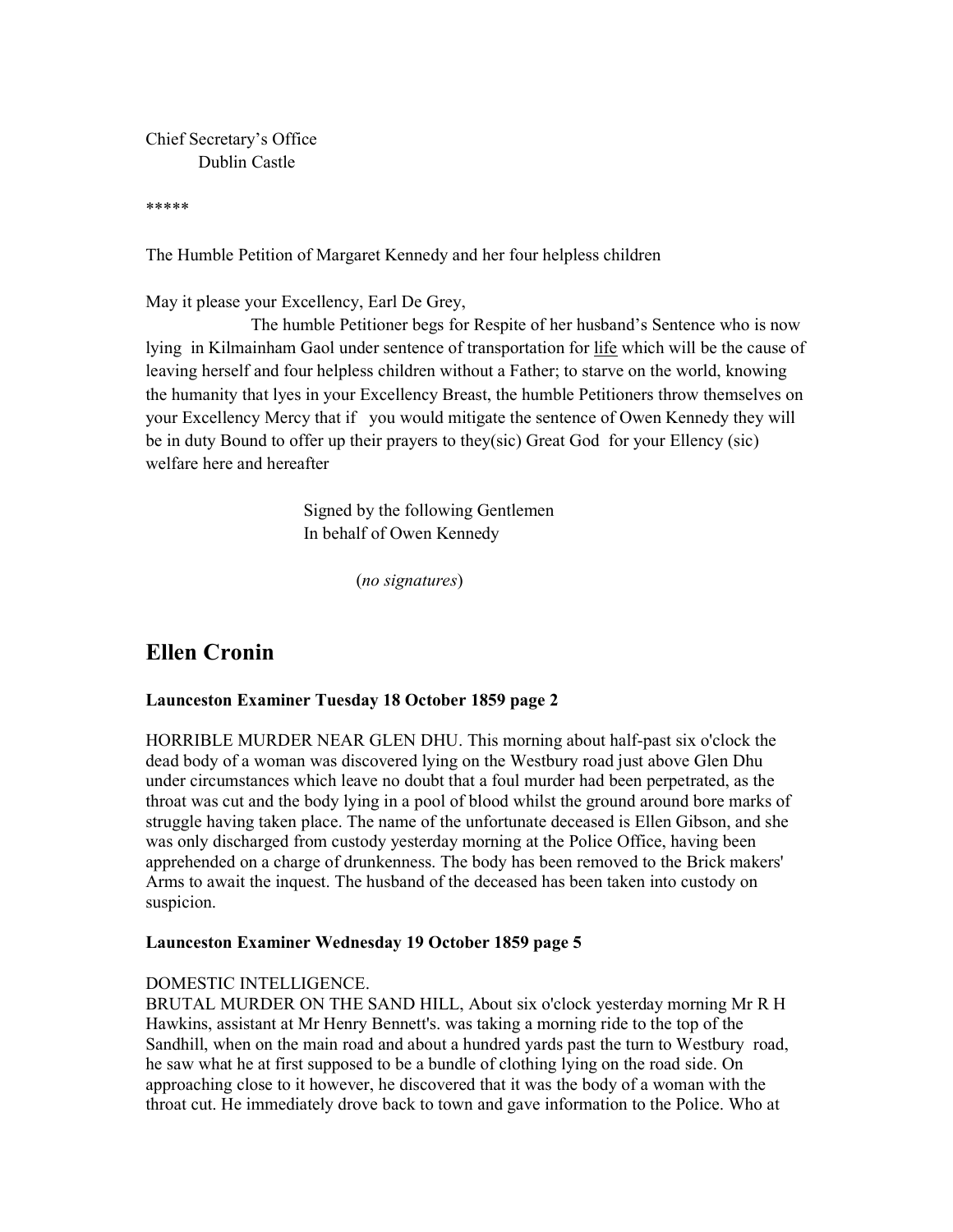Chief Secretary's Office Dublin Castle

\*\*\*\*\*

The Humble Petition of Margaret Kennedy and her four helpless children

May it please your Excellency, Earl De Grey,

 The humble Petitioner begs for Respite of her husband's Sentence who is now lying in Kilmainham Gaol under sentence of transportation for life which will be the cause of leaving herself and four helpless children without a Father; to starve on the world, knowing the humanity that lyes in your Excellency Breast, the humble Petitioners throw themselves on your Excellency Mercy that if you would mitigate the sentence of Owen Kennedy they will be in duty Bound to offer up their prayers to they(sic) Great God for your Ellency (sic) welfare here and hereafter

> Signed by the following Gentlemen In behalf of Owen Kennedy

> > (no signatures)

# Ellen Cronin

# Launceston Examiner Tuesday 18 October 1859 page 2

HORRIBLE MURDER NEAR GLEN DHU. This morning about half-past six o'clock the dead body of a woman was discovered lying on the Westbury road just above Glen Dhu under circumstances which leave no doubt that a foul murder had been perpetrated, as the throat was cut and the body lying in a pool of blood whilst the ground around bore marks of struggle having taken place. The name of the unfortunate deceased is Ellen Gibson, and she was only discharged from custody yesterday morning at the Police Office, having been apprehended on a charge of drunkenness. The body has been removed to the Brick makers' Arms to await the inquest. The husband of the deceased has been taken into custody on suspicion.

# Launceston Examiner Wednesday 19 October 1859 page 5

# DOMESTIC INTELLIGENCE.

BRUTAL MURDER ON THE SAND HILL, About six o'clock yesterday morning Mr R H Hawkins, assistant at Mr Henry Bennett's. was taking a morning ride to the top of the Sandhill, when on the main road and about a hundred yards past the turn to Westbury road, he saw what he at first supposed to be a bundle of clothing lying on the road side. On approaching close to it however, he discovered that it was the body of a woman with the throat cut. He immediately drove back to town and gave information to the Police. Who at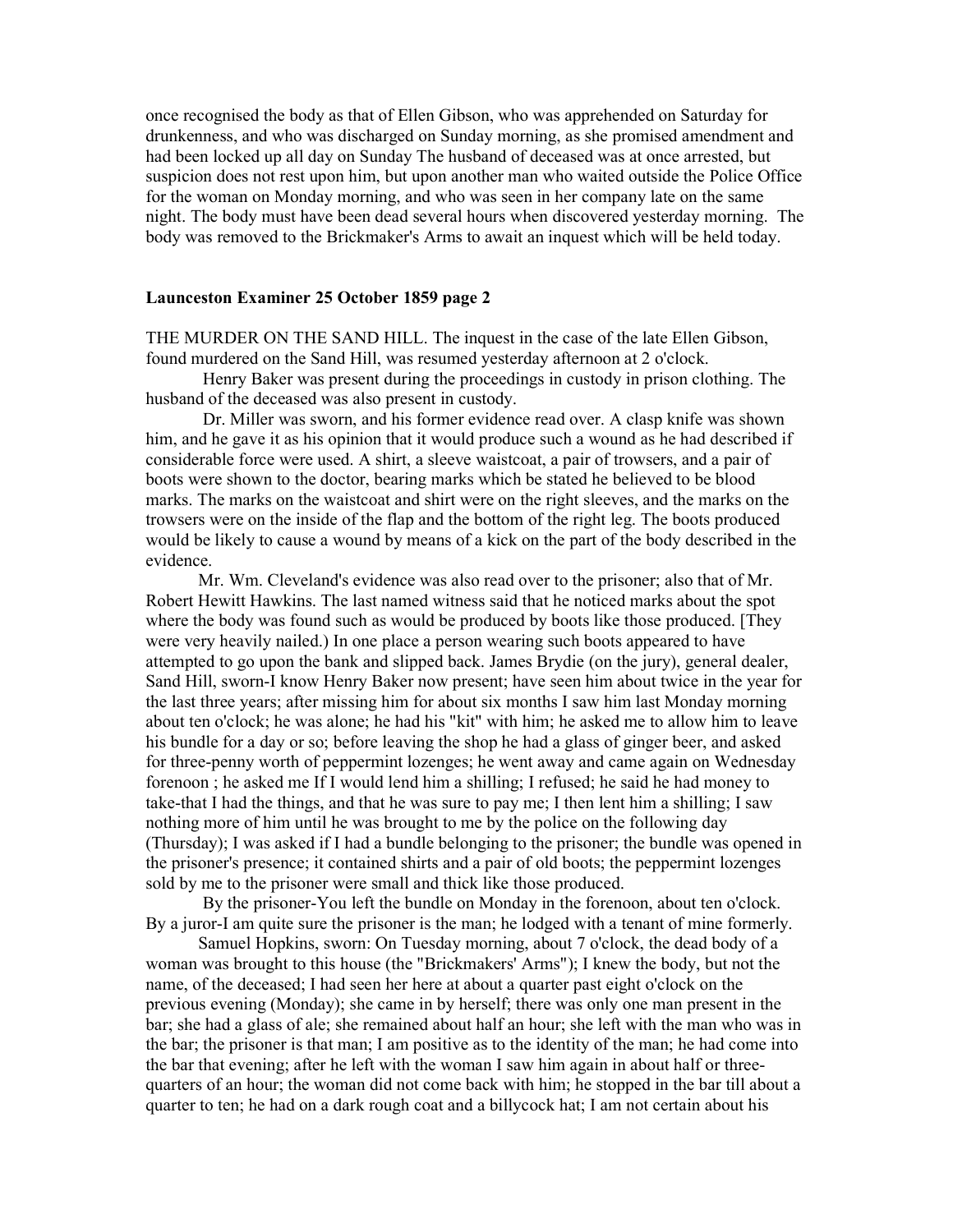once recognised the body as that of Ellen Gibson, who was apprehended on Saturday for drunkenness, and who was discharged on Sunday morning, as she promised amendment and had been locked up all day on Sunday The husband of deceased was at once arrested, but suspicion does not rest upon him, but upon another man who waited outside the Police Office for the woman on Monday morning, and who was seen in her company late on the same night. The body must have been dead several hours when discovered yesterday morning. The body was removed to the Brickmaker's Arms to await an inquest which will be held today.

### Launceston Examiner 25 October 1859 page 2

THE MURDER ON THE SAND HILL. The inquest in the case of the late Ellen Gibson, found murdered on the Sand Hill, was resumed yesterday afternoon at 2 o'clock.

 Henry Baker was present during the proceedings in custody in prison clothing. The husband of the deceased was also present in custody.

 Dr. Miller was sworn, and his former evidence read over. A clasp knife was shown him, and he gave it as his opinion that it would produce such a wound as he had described if considerable force were used. A shirt, a sleeve waistcoat, a pair of trowsers, and a pair of boots were shown to the doctor, bearing marks which be stated he believed to be blood marks. The marks on the waistcoat and shirt were on the right sleeves, and the marks on the trowsers were on the inside of the flap and the bottom of the right leg. The boots produced would be likely to cause a wound by means of a kick on the part of the body described in the evidence.

Mr. Wm. Cleveland's evidence was also read over to the prisoner; also that of Mr. Robert Hewitt Hawkins. The last named witness said that he noticed marks about the spot where the body was found such as would be produced by boots like those produced. [They were very heavily nailed.) In one place a person wearing such boots appeared to have attempted to go upon the bank and slipped back. James Brydie (on the jury), general dealer, Sand Hill, sworn-I know Henry Baker now present; have seen him about twice in the year for the last three years; after missing him for about six months I saw him last Monday morning about ten o'clock; he was alone; he had his "kit" with him; he asked me to allow him to leave his bundle for a day or so; before leaving the shop he had a glass of ginger beer, and asked for three-penny worth of peppermint lozenges; he went away and came again on Wednesday forenoon ; he asked me If I would lend him a shilling; I refused; he said he had money to take-that I had the things, and that he was sure to pay me; I then lent him a shilling; I saw nothing more of him until he was brought to me by the police on the following day (Thursday); I was asked if I had a bundle belonging to the prisoner; the bundle was opened in the prisoner's presence; it contained shirts and a pair of old boots; the peppermint lozenges sold by me to the prisoner were small and thick like those produced.

 By the prisoner-You left the bundle on Monday in the forenoon, about ten o'clock. By a juror-I am quite sure the prisoner is the man; he lodged with a tenant of mine formerly.

Samuel Hopkins, sworn: On Tuesday morning, about 7 o'clock, the dead body of a woman was brought to this house (the "Brickmakers' Arms"); I knew the body, but not the name, of the deceased; I had seen her here at about a quarter past eight o'clock on the previous evening (Monday); she came in by herself; there was only one man present in the bar; she had a glass of ale; she remained about half an hour; she left with the man who was in the bar; the prisoner is that man; I am positive as to the identity of the man; he had come into the bar that evening; after he left with the woman I saw him again in about half or threequarters of an hour; the woman did not come back with him; he stopped in the bar till about a quarter to ten; he had on a dark rough coat and a billycock hat; I am not certain about his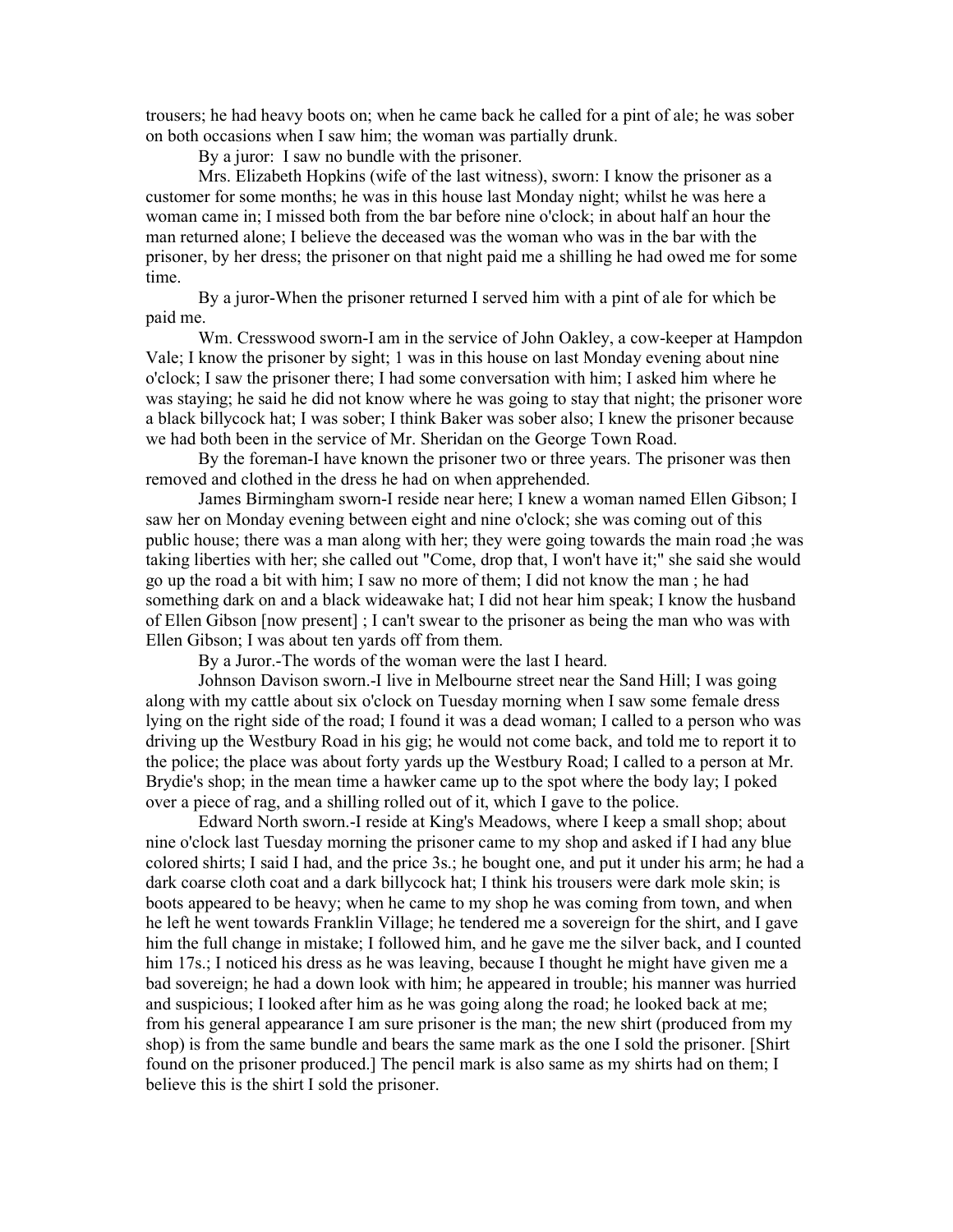trousers; he had heavy boots on; when he came back he called for a pint of ale; he was sober on both occasions when I saw him; the woman was partially drunk.

By a juror: I saw no bundle with the prisoner.

Mrs. Elizabeth Hopkins (wife of the last witness), sworn: I know the prisoner as a customer for some months; he was in this house last Monday night; whilst he was here a woman came in; I missed both from the bar before nine o'clock; in about half an hour the man returned alone; I believe the deceased was the woman who was in the bar with the prisoner, by her dress; the prisoner on that night paid me a shilling he had owed me for some time.

By a juror-When the prisoner returned I served him with a pint of ale for which be paid me.

Wm. Cresswood sworn-I am in the service of John Oakley, a cow-keeper at Hampdon Vale; I know the prisoner by sight; 1 was in this house on last Monday evening about nine o'clock; I saw the prisoner there; I had some conversation with him; I asked him where he was staying; he said he did not know where he was going to stay that night; the prisoner wore a black billycock hat; I was sober; I think Baker was sober also; I knew the prisoner because we had both been in the service of Mr. Sheridan on the George Town Road.

By the foreman-I have known the prisoner two or three years. The prisoner was then removed and clothed in the dress he had on when apprehended.

James Birmingham sworn-I reside near here; I knew a woman named Ellen Gibson; I saw her on Monday evening between eight and nine o'clock; she was coming out of this public house; there was a man along with her; they were going towards the main road ;he was taking liberties with her; she called out "Come, drop that, I won't have it;" she said she would go up the road a bit with him; I saw no more of them; I did not know the man ; he had something dark on and a black wideawake hat; I did not hear him speak; I know the husband of Ellen Gibson [now present] ; I can't swear to the prisoner as being the man who was with Ellen Gibson; I was about ten yards off from them.

By a Juror.-The words of the woman were the last I heard.

Johnson Davison sworn.-I live in Melbourne street near the Sand Hill; I was going along with my cattle about six o'clock on Tuesday morning when I saw some female dress lying on the right side of the road; I found it was a dead woman; I called to a person who was driving up the Westbury Road in his gig; he would not come back, and told me to report it to the police; the place was about forty yards up the Westbury Road; I called to a person at Mr. Brydie's shop; in the mean time a hawker came up to the spot where the body lay; I poked over a piece of rag, and a shilling rolled out of it, which I gave to the police.

Edward North sworn.-I reside at King's Meadows, where I keep a small shop; about nine o'clock last Tuesday morning the prisoner came to my shop and asked if I had any blue colored shirts; I said I had, and the price 3s.; he bought one, and put it under his arm; he had a dark coarse cloth coat and a dark billycock hat; I think his trousers were dark mole skin; is boots appeared to be heavy; when he came to my shop he was coming from town, and when he left he went towards Franklin Village; he tendered me a sovereign for the shirt, and I gave him the full change in mistake; I followed him, and he gave me the silver back, and I counted him 17s.; I noticed his dress as he was leaving, because I thought he might have given me a bad sovereign; he had a down look with him; he appeared in trouble; his manner was hurried and suspicious; I looked after him as he was going along the road; he looked back at me; from his general appearance I am sure prisoner is the man; the new shirt (produced from my shop) is from the same bundle and bears the same mark as the one I sold the prisoner. [Shirt found on the prisoner produced.] The pencil mark is also same as my shirts had on them; I believe this is the shirt I sold the prisoner.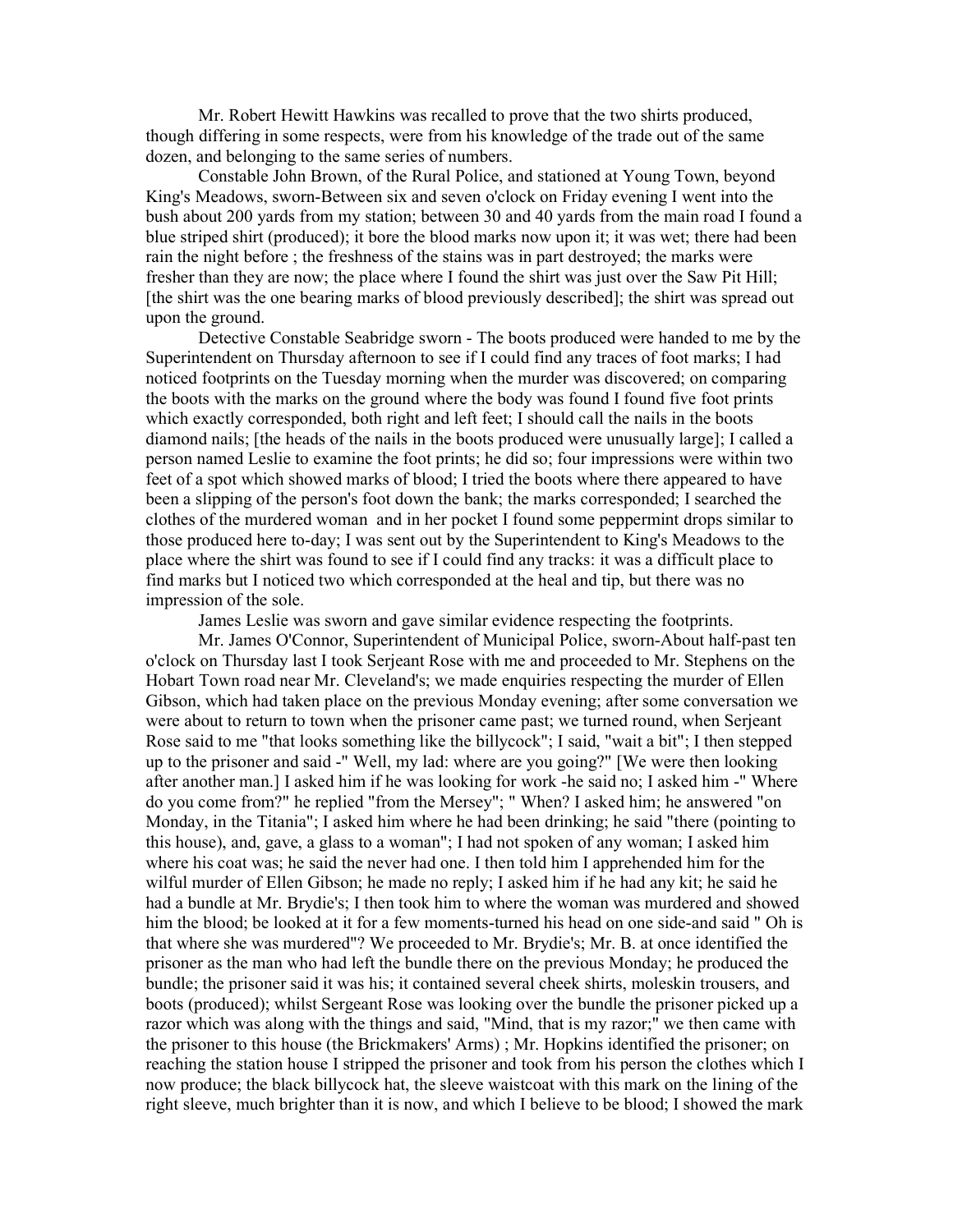Mr. Robert Hewitt Hawkins was recalled to prove that the two shirts produced, though differing in some respects, were from his knowledge of the trade out of the same dozen, and belonging to the same series of numbers.

Constable John Brown, of the Rural Police, and stationed at Young Town, beyond King's Meadows, sworn-Between six and seven o'clock on Friday evening I went into the bush about 200 yards from my station; between 30 and 40 yards from the main road I found a blue striped shirt (produced); it bore the blood marks now upon it; it was wet; there had been rain the night before ; the freshness of the stains was in part destroyed; the marks were fresher than they are now; the place where I found the shirt was just over the Saw Pit Hill; [the shirt was the one bearing marks of blood previously described]; the shirt was spread out upon the ground.

Detective Constable Seabridge sworn - The boots produced were handed to me by the Superintendent on Thursday afternoon to see if I could find any traces of foot marks; I had noticed footprints on the Tuesday morning when the murder was discovered; on comparing the boots with the marks on the ground where the body was found I found five foot prints which exactly corresponded, both right and left feet; I should call the nails in the boots diamond nails; [the heads of the nails in the boots produced were unusually large]; I called a person named Leslie to examine the foot prints; he did so; four impressions were within two feet of a spot which showed marks of blood; I tried the boots where there appeared to have been a slipping of the person's foot down the bank; the marks corresponded; I searched the clothes of the murdered woman and in her pocket I found some peppermint drops similar to those produced here to-day; I was sent out by the Superintendent to King's Meadows to the place where the shirt was found to see if I could find any tracks: it was a difficult place to find marks but I noticed two which corresponded at the heal and tip, but there was no impression of the sole.

James Leslie was sworn and gave similar evidence respecting the footprints.

Mr. James O'Connor, Superintendent of Municipal Police, sworn-About half-past ten o'clock on Thursday last I took Serjeant Rose with me and proceeded to Mr. Stephens on the Hobart Town road near Mr. Cleveland's; we made enquiries respecting the murder of Ellen Gibson, which had taken place on the previous Monday evening; after some conversation we were about to return to town when the prisoner came past; we turned round, when Serjeant Rose said to me "that looks something like the billycock"; I said, "wait a bit"; I then stepped up to the prisoner and said -" Well, my lad: where are you going?" [We were then looking after another man.] I asked him if he was looking for work -he said no; I asked him -" Where do you come from?" he replied "from the Mersey"; " When? I asked him; he answered "on Monday, in the Titania"; I asked him where he had been drinking; he said "there (pointing to this house), and, gave, a glass to a woman"; I had not spoken of any woman; I asked him where his coat was; he said the never had one. I then told him I apprehended him for the wilful murder of Ellen Gibson; he made no reply; I asked him if he had any kit; he said he had a bundle at Mr. Brydie's; I then took him to where the woman was murdered and showed him the blood; be looked at it for a few moments-turned his head on one side-and said " Oh is that where she was murdered"? We proceeded to Mr. Brydie's; Mr. B. at once identified the prisoner as the man who had left the bundle there on the previous Monday; he produced the bundle; the prisoner said it was his; it contained several cheek shirts, moleskin trousers, and boots (produced); whilst Sergeant Rose was looking over the bundle the prisoner picked up a razor which was along with the things and said, "Mind, that is my razor;" we then came with the prisoner to this house (the Brickmakers' Arms) ; Mr. Hopkins identified the prisoner; on reaching the station house I stripped the prisoner and took from his person the clothes which I now produce; the black billycock hat, the sleeve waistcoat with this mark on the lining of the right sleeve, much brighter than it is now, and which I believe to be blood; I showed the mark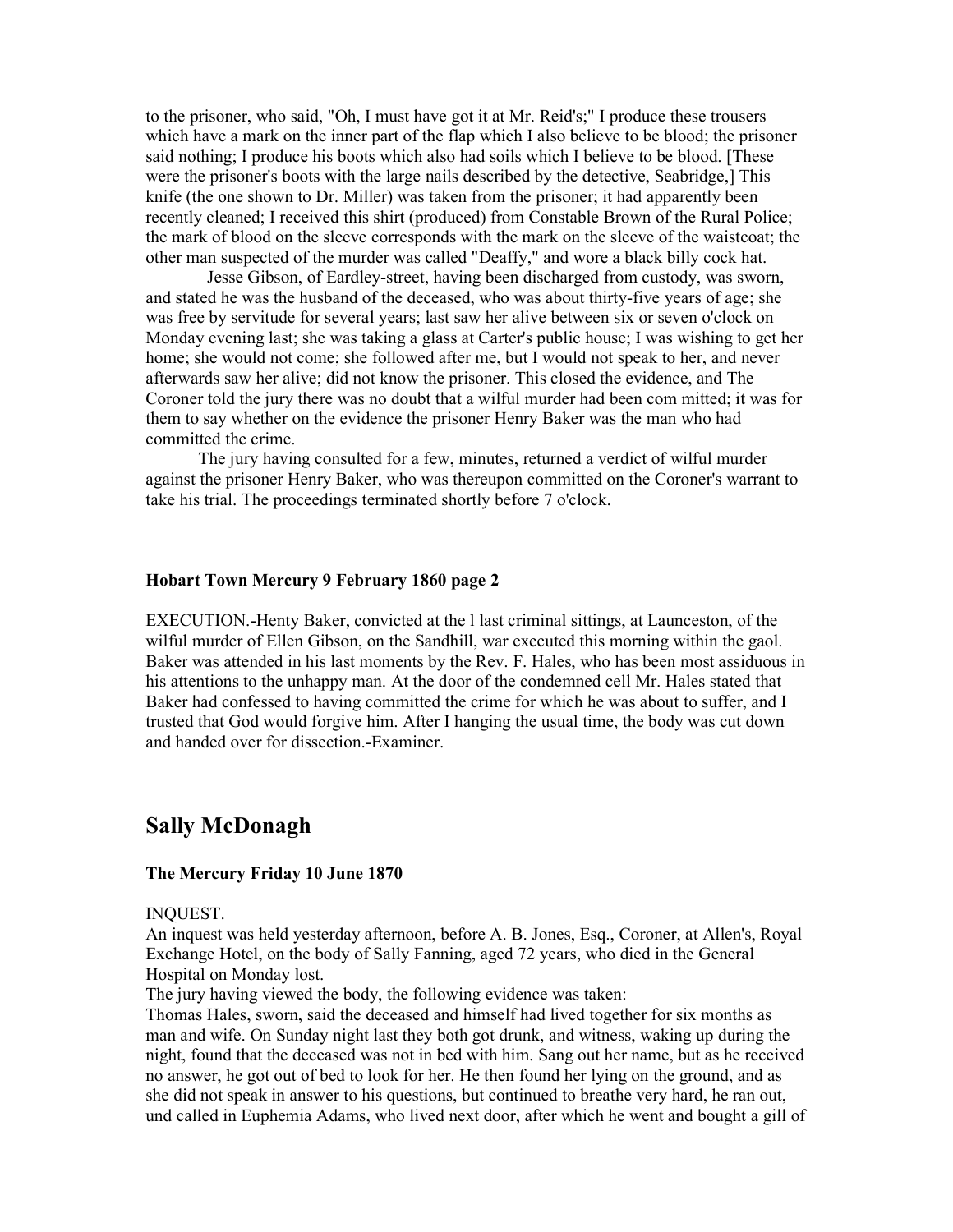to the prisoner, who said, "Oh, I must have got it at Mr. Reid's;" I produce these trousers which have a mark on the inner part of the flap which I also believe to be blood; the prisoner said nothing; I produce his boots which also had soils which I believe to be blood. [These were the prisoner's boots with the large nails described by the detective, Seabridge,] This knife (the one shown to Dr. Miller) was taken from the prisoner; it had apparently been recently cleaned; I received this shirt (produced) from Constable Brown of the Rural Police; the mark of blood on the sleeve corresponds with the mark on the sleeve of the waistcoat; the other man suspected of the murder was called "Deaffy," and wore a black billy cock hat.

 Jesse Gibson, of Eardley-street, having been discharged from custody, was sworn, and stated he was the husband of the deceased, who was about thirty-five years of age; she was free by servitude for several years; last saw her alive between six or seven o'clock on Monday evening last; she was taking a glass at Carter's public house; I was wishing to get her home; she would not come; she followed after me, but I would not speak to her, and never afterwards saw her alive; did not know the prisoner. This closed the evidence, and The Coroner told the jury there was no doubt that a wilful murder had been com mitted; it was for them to say whether on the evidence the prisoner Henry Baker was the man who had committed the crime.

The jury having consulted for a few, minutes, returned a verdict of wilful murder against the prisoner Henry Baker, who was thereupon committed on the Coroner's warrant to take his trial. The proceedings terminated shortly before 7 o'clock.

#### Hobart Town Mercury 9 February 1860 page 2

EXECUTION.-Henty Baker, convicted at the l last criminal sittings, at Launceston, of the wilful murder of Ellen Gibson, on the Sandhill, war executed this morning within the gaol. Baker was attended in his last moments by the Rev. F. Hales, who has been most assiduous in his attentions to the unhappy man. At the door of the condemned cell Mr. Hales stated that Baker had confessed to having committed the crime for which he was about to suffer, and I trusted that God would forgive him. After I hanging the usual time, the body was cut down and handed over for dissection.-Examiner.

# Sally McDonagh

### The Mercury Friday 10 June 1870

### INQUEST.

An inquest was held yesterday afternoon, before A. B. Jones, Esq., Coroner, at Allen's, Royal Exchange Hotel, on the body of Sally Fanning, aged 72 years, who died in the General Hospital on Monday lost.

The jury having viewed the body, the following evidence was taken:

Thomas Hales, sworn, said the deceased and himself had lived together for six months as man and wife. On Sunday night last they both got drunk, and witness, waking up during the night, found that the deceased was not in bed with him. Sang out her name, but as he received no answer, he got out of bed to look for her. He then found her lying on the ground, and as she did not speak in answer to his questions, but continued to breathe very hard, he ran out, und called in Euphemia Adams, who lived next door, after which he went and bought a gill of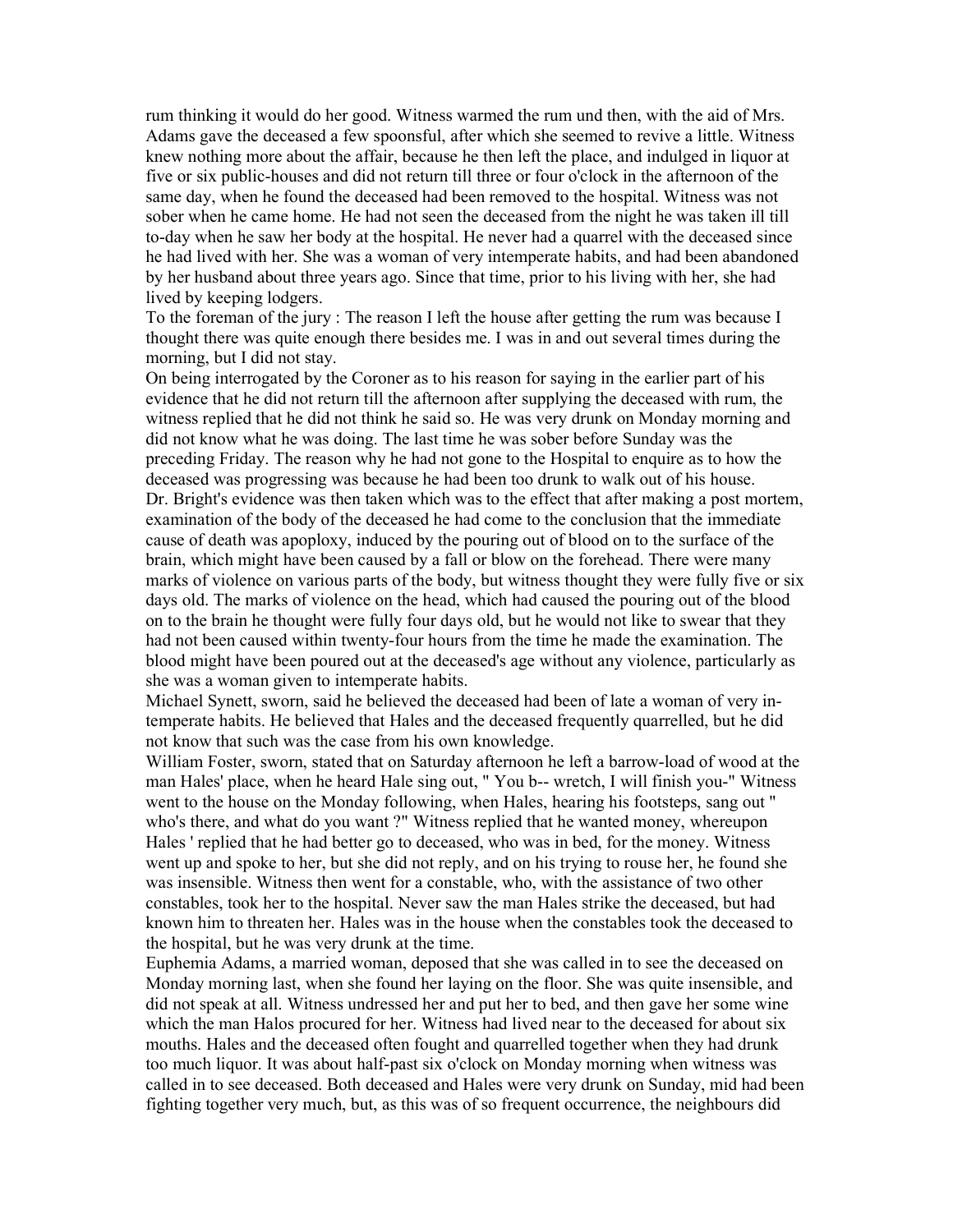rum thinking it would do her good. Witness warmed the rum und then, with the aid of Mrs. Adams gave the deceased a few spoonsful, after which she seemed to revive a little. Witness knew nothing more about the affair, because he then left the place, and indulged in liquor at five or six public-houses and did not return till three or four o'clock in the afternoon of the same day, when he found the deceased had been removed to the hospital. Witness was not sober when he came home. He had not seen the deceased from the night he was taken ill till to-day when he saw her body at the hospital. He never had a quarrel with the deceased since he had lived with her. She was a woman of very intemperate habits, and had been abandoned by her husband about three years ago. Since that time, prior to his living with her, she had lived by keeping lodgers.

To the foreman of the jury : The reason I left the house after getting the rum was because I thought there was quite enough there besides me. I was in and out several times during the morning, but I did not stay.

On being interrogated by the Coroner as to his reason for saying in the earlier part of his evidence that he did not return till the afternoon after supplying the deceased with rum, the witness replied that he did not think he said so. He was very drunk on Monday morning and did not know what he was doing. The last time he was sober before Sunday was the preceding Friday. The reason why he had not gone to the Hospital to enquire as to how the deceased was progressing was because he had been too drunk to walk out of his house. Dr. Bright's evidence was then taken which was to the effect that after making a post mortem, examination of the body of the deceased he had come to the conclusion that the immediate cause of death was apoploxy, induced by the pouring out of blood on to the surface of the brain, which might have been caused by a fall or blow on the forehead. There were many marks of violence on various parts of the body, but witness thought they were fully five or six days old. The marks of violence on the head, which had caused the pouring out of the blood on to the brain he thought were fully four days old, but he would not like to swear that they had not been caused within twenty-four hours from the time he made the examination. The blood might have been poured out at the deceased's age without any violence, particularly as she was a woman given to intemperate habits.

Michael Synett, sworn, said he believed the deceased had been of late a woman of very intemperate habits. He believed that Hales and the deceased frequently quarrelled, but he did not know that such was the case from his own knowledge.

William Foster, sworn, stated that on Saturday afternoon he left a barrow-load of wood at the man Hales' place, when he heard Hale sing out, " You b-- wretch, I will finish you-" Witness went to the house on the Monday following, when Hales, hearing his footsteps, sang out " who's there, and what do you want ?" Witness replied that he wanted money, whereupon Hales ' replied that he had better go to deceased, who was in bed, for the money. Witness went up and spoke to her, but she did not reply, and on his trying to rouse her, he found she was insensible. Witness then went for a constable, who, with the assistance of two other constables, took her to the hospital. Never saw the man Hales strike the deceased, but had known him to threaten her. Hales was in the house when the constables took the deceased to the hospital, but he was very drunk at the time.

Euphemia Adams, a married woman, deposed that she was called in to see the deceased on Monday morning last, when she found her laying on the floor. She was quite insensible, and did not speak at all. Witness undressed her and put her to bed, and then gave her some wine which the man Halos procured for her. Witness had lived near to the deceased for about six mouths. Hales and the deceased often fought and quarrelled together when they had drunk too much liquor. It was about half-past six o'clock on Monday morning when witness was called in to see deceased. Both deceased and Hales were very drunk on Sunday, mid had been fighting together very much, but, as this was of so frequent occurrence, the neighbours did